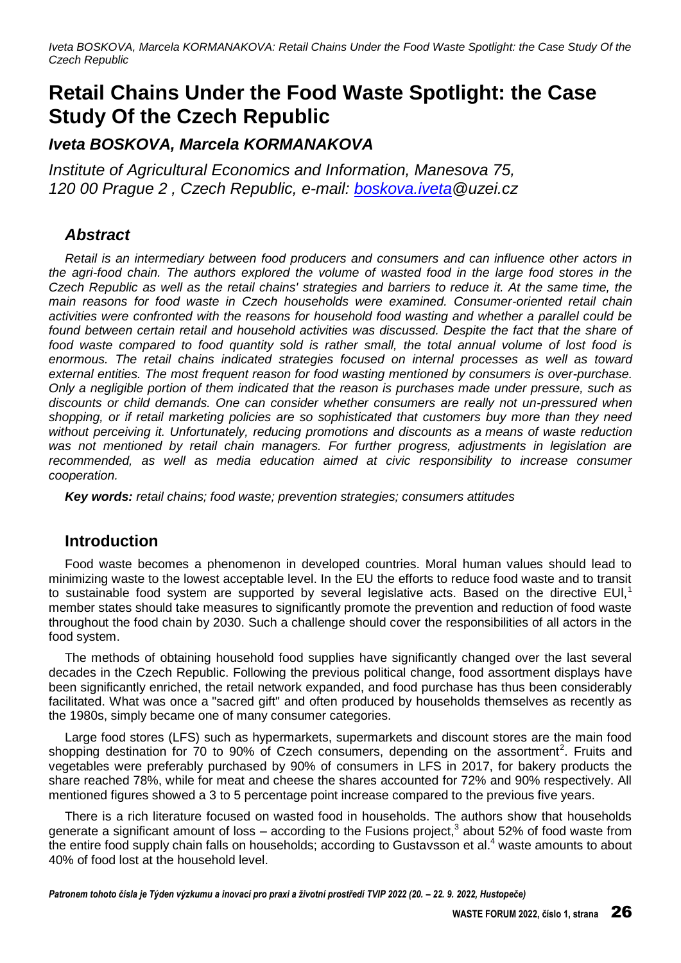# **Retail Chains Under the Food Waste Spotlight: the Case Study Of the Czech Republic**

*Iveta BOSKOVA, Marcela KORMANAKOVA* 

*Institute of Agricultural Economics and Information, Manesova 75, 120 00 Prague 2 , Czech Republic, e-mail: [boskova.iveta@](mailto:prochazka@cemc.cz)uzei.cz* 

# *Abstract*

*Retail is an intermediary between food producers and consumers and can influence other actors in the agri-food chain. The authors explored the volume of wasted food in the large food stores in the Czech Republic as well as the retail chains' strategies and barriers to reduce it. At the same time, the main reasons for food waste in Czech households were examined. Consumer-oriented retail chain activities were confronted with the reasons for household food wasting and whether a parallel could be*  found between certain retail and household activities was discussed. Despite the fact that the share of *food waste compared to food quantity sold is rather small, the total annual volume of lost food is enormous. The retail chains indicated strategies focused on internal processes as well as toward external entities. The most frequent reason for food wasting mentioned by consumers is over-purchase. Only a negligible portion of them indicated that the reason is purchases made under pressure, such as discounts or child demands. One can consider whether consumers are really not un-pressured when shopping, or if retail marketing policies are so sophisticated that customers buy more than they need without perceiving it. Unfortunately, reducing promotions and discounts as a means of waste reduction was not mentioned by retail chain managers. For further progress, adjustments in legislation are*  recommended, as well as media education aimed at civic responsibility to increase consumer *cooperation.* 

*Key words: retail chains; food waste; prevention strategies; consumers attitudes*

### **Introduction**

Food waste becomes a phenomenon in developed countries. Moral human values should lead to minimizing waste to the lowest acceptable level. In the EU the efforts to reduce food waste and to transit to sustainable food system are supported by several legislative acts. Based on the directive EUI,<sup>1</sup> member states should take measures to significantly promote the prevention and reduction of food waste throughout the food chain by 2030. Such a challenge should cover the responsibilities of all actors in the food system.

The methods of obtaining household food supplies have significantly changed over the last several decades in the Czech Republic. Following the previous political change, food assortment displays have been significantly enriched, the retail network expanded, and food purchase has thus been considerably facilitated. What was once a "sacred gift" and often produced by households themselves as recently as the 1980s, simply became one of many consumer categories.

Large food stores (LFS) such as hypermarkets, supermarkets and discount stores are the main food shopping destination for 70 to 90% of Czech consumers, depending on the assortment<sup>2</sup>. Fruits and vegetables were preferably purchased by 90% of consumers in LFS in 2017, for bakery products the share reached 78%, while for meat and cheese the shares accounted for 72% and 90% respectively. All mentioned figures showed a 3 to 5 percentage point increase compared to the previous five years.

There is a rich literature focused on wasted food in households. The authors show that households generate a significant amount of loss – according to the Fusions project,<sup>3</sup> about 52% of food waste from the entire food supply chain falls on households; according to Gustavsson et al.<sup>4</sup> waste amounts to about 40% of food lost at the household level.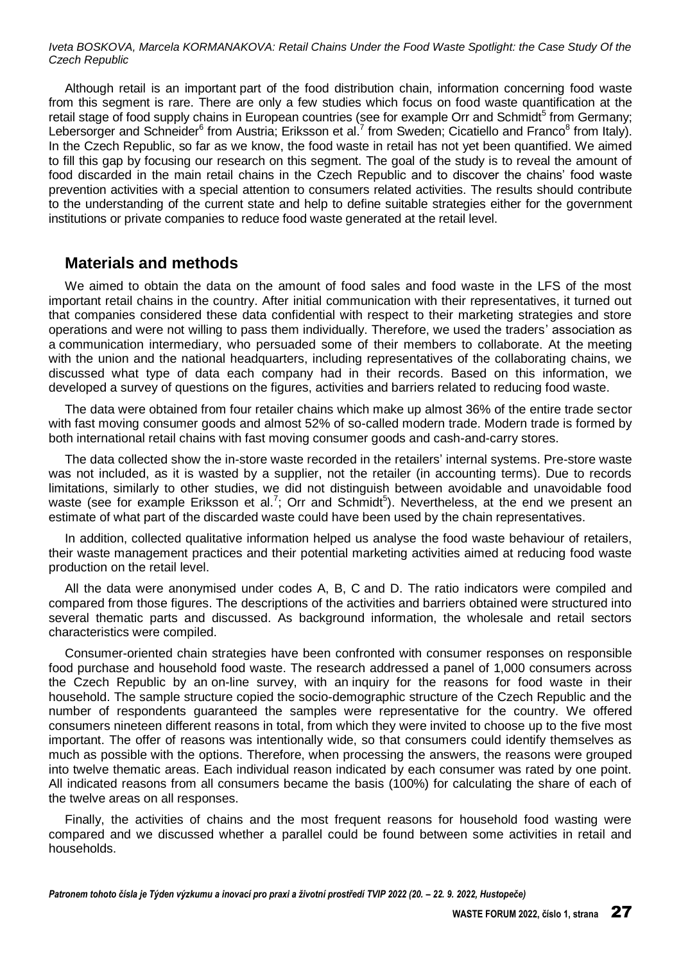Although retail is an important part of the food distribution chain, information concerning food waste from this segment is rare. There are only a few studies which focus on food waste quantification at the retail stage of food supply chains in European countries (see for example Orr and Schmidt<sup>5</sup> from Germany; Lebersorger and Schneider<sup>6</sup> from Austria; Eriksson et al.<sup>7</sup> from Sweden; Cicatiello and Franco<sup>8</sup> from Italy). In the Czech Republic, so far as we know, the food waste in retail has not yet been quantified. We aimed to fill this gap by focusing our research on this segment. The goal of the study is to reveal the amount of food discarded in the main retail chains in the Czech Republic and to discover the chains' food waste prevention activities with a special attention to consumers related activities. The results should contribute to the understanding of the current state and help to define suitable strategies either for the government institutions or private companies to reduce food waste generated at the retail level.

### **Materials and methods**

We aimed to obtain the data on the amount of food sales and food waste in the LFS of the most important retail chains in the country. After initial communication with their representatives, it turned out that companies considered these data confidential with respect to their marketing strategies and store operations and were not willing to pass them individually. Therefore, we used the traders' association as a communication intermediary, who persuaded some of their members to collaborate. At the meeting with the union and the national headquarters, including representatives of the collaborating chains, we discussed what type of data each company had in their records. Based on this information, we developed a survey of questions on the figures, activities and barriers related to reducing food waste.

The data were obtained from four retailer chains which make up almost 36% of the entire trade sector with fast moving consumer goods and almost 52% of so-called modern trade. Modern trade is formed by both international retail chains with fast moving consumer goods and cash-and-carry stores.

The data collected show the in-store waste recorded in the retailers' internal systems. Pre-store waste was not included, as it is wasted by a supplier, not the retailer (in accounting terms). Due to records limitations, similarly to other studies, we did not distinguish between avoidable and unavoidable food waste (see for example Eriksson et al.<sup>7</sup>; Orr and Schmidt<sup>5</sup>). Nevertheless, at the end we present an estimate of what part of the discarded waste could have been used by the chain representatives.

In addition, collected qualitative information helped us analyse the food waste behaviour of retailers, their waste management practices and their potential marketing activities aimed at reducing food waste production on the retail level.

All the data were anonymised under codes A, B, C and D. The ratio indicators were compiled and compared from those figures. The descriptions of the activities and barriers obtained were structured into several thematic parts and discussed. As background information, the wholesale and retail sectors characteristics were compiled.

Consumer-oriented chain strategies have been confronted with consumer responses on responsible food purchase and household food waste. The research addressed a panel of 1,000 consumers across the Czech Republic by an on-line survey, with an inquiry for the reasons for food waste in their household. The sample structure copied the socio-demographic structure of the Czech Republic and the number of respondents guaranteed the samples were representative for the country. We offered consumers nineteen different reasons in total, from which they were invited to choose up to the five most important. The offer of reasons was intentionally wide, so that consumers could identify themselves as much as possible with the options. Therefore, when processing the answers, the reasons were grouped into twelve thematic areas. Each individual reason indicated by each consumer was rated by one point. All indicated reasons from all consumers became the basis (100%) for calculating the share of each of the twelve areas on all responses.

Finally, the activities of chains and the most frequent reasons for household food wasting were compared and we discussed whether a parallel could be found between some activities in retail and households.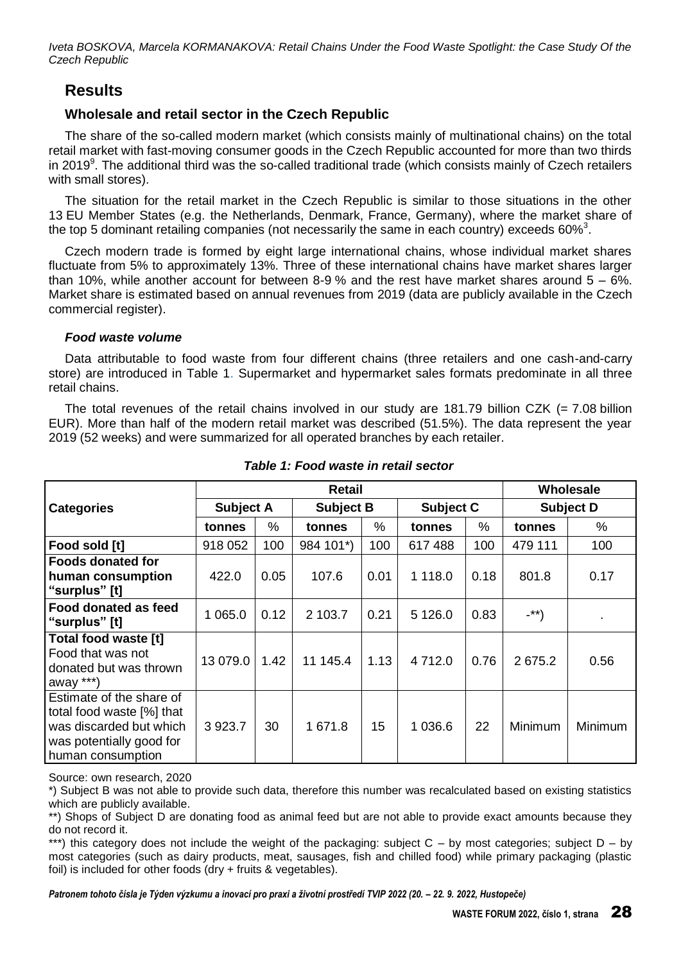### **Results**

### **Wholesale and retail sector in the Czech Republic**

The share of the so-called modern market (which consists mainly of multinational chains) on the total retail market with fast-moving consumer goods in the Czech Republic accounted for more than two thirds in 2019<sup>9</sup>. The additional third was the so-called traditional trade (which consists mainly of Czech retailers with small stores).

The situation for the retail market in the Czech Republic is similar to those situations in the other 13 EU Member States (e.g. the Netherlands, Denmark, France, Germany), where the market share of the top 5 dominant retailing companies (not necessarily the same in each country) exceeds 60% $^3$ .

Czech modern trade is formed by eight large international chains, whose individual market shares fluctuate from 5% to approximately 13%. Three of these international chains have market shares larger than 10%, while another account for between 8-9% and the rest have market shares around  $5 - 6\%$ . Market share is estimated based on annual revenues from 2019 (data are publicly available in the Czech commercial register).

### *Food waste volume*

Data attributable to food waste from four different chains (three retailers and one cash-and-carry store) are introduced in Table 1. Supermarket and hypermarket sales formats predominate in all three retail chains.

The total revenues of the retail chains involved in our study are 181.79 billion CZK  $(= 7.08$  billion EUR). More than half of the modern retail market was described (51.5%). The data represent the year 2019 (52 weeks) and were summarized for all operated branches by each retailer.

|                                                                                                                                   |                  |      | Wholesale        |      |                  |      |                  |         |
|-----------------------------------------------------------------------------------------------------------------------------------|------------------|------|------------------|------|------------------|------|------------------|---------|
| <b>Categories</b>                                                                                                                 | <b>Subject A</b> |      | <b>Subject B</b> |      | <b>Subject C</b> |      | <b>Subject D</b> |         |
|                                                                                                                                   | tonnes           | %    | tonnes           | $\%$ | tonnes           | %    | tonnes           | %       |
| Food sold [t]                                                                                                                     | 918 052          | 100  | 984 101*)        | 100  | 617488           | 100  | 479 111          | 100     |
| <b>Foods donated for</b><br>human consumption<br>"surplus" [t]                                                                    | 422.0            | 0.05 | 107.6            | 0.01 | 1 1 1 8 .0       | 0.18 | 801.8            | 0.17    |
| Food donated as feed<br>"surplus" [t]                                                                                             | 065.0<br>1       | 0.12 | 2 103.7          | 0.21 | 5 1 2 6 .0       | 0.83 | $-$ **)          | ٠       |
| Total food waste [t]<br>Food that was not<br>donated but was thrown<br>away ***)                                                  | 13 079.0         | 1.42 | 11 145.4         | 1.13 | 4712.0           | 0.76 | 2675.2           | 0.56    |
| Estimate of the share of<br>total food waste [%] that<br>was discarded but which<br>was potentially good for<br>human consumption | 3923.7           | 30   | 1 671.8          | 15   | 1 0 3 6.6        | 22   | <b>Minimum</b>   | Minimum |

#### *Table 1: Food waste in retail sector*

Source: own research, 2020

\*) Subject B was not able to provide such data, therefore this number was recalculated based on existing statistics which are publicly available.

\*\*) Shops of Subject D are donating food as animal feed but are not able to provide exact amounts because they do not record it.

\*\*\*) this category does not include the weight of the packaging: subject  $C - by$  most categories; subject  $D - by$ most categories (such as dairy products, meat, sausages, fish and chilled food) while primary packaging (plastic foil) is included for other foods (dry + fruits & vegetables).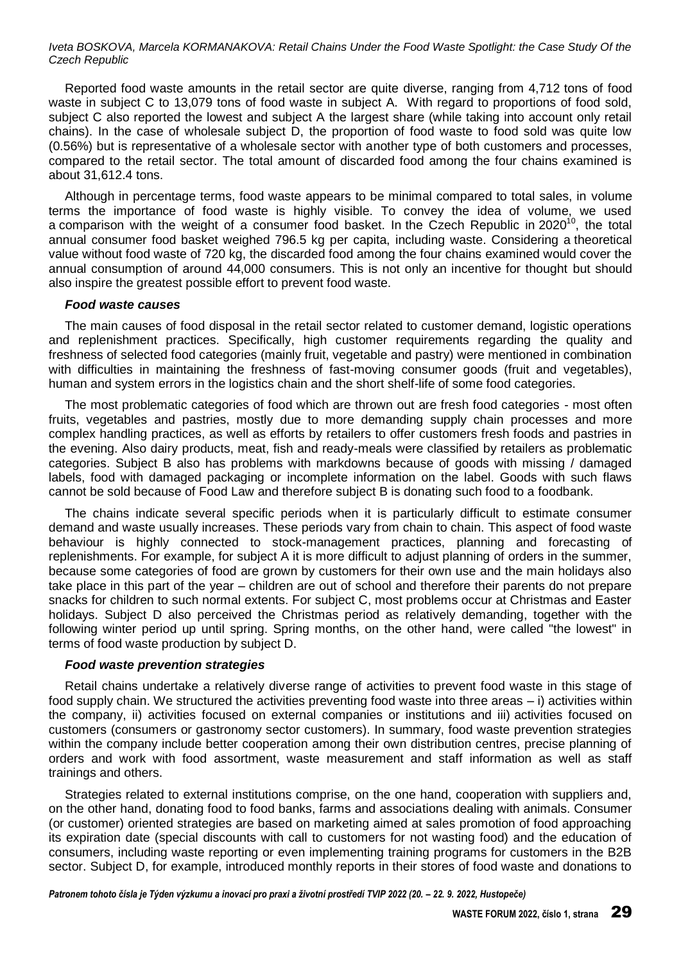Reported food waste amounts in the retail sector are quite diverse, ranging from 4,712 tons of food waste in subject C to 13,079 tons of food waste in subject A. With regard to proportions of food sold, subject C also reported the lowest and subject A the largest share (while taking into account only retail chains). In the case of wholesale subject D, the proportion of food waste to food sold was quite low (0.56%) but is representative of a wholesale sector with another type of both customers and processes, compared to the retail sector. The total amount of discarded food among the four chains examined is about 31,612.4 tons.

Although in percentage terms, food waste appears to be minimal compared to total sales, in volume terms the importance of food waste is highly visible. To convey the idea of volume, we used a comparison with the weight of a consumer food basket. In the Czech Republic in 2020<sup>10</sup>, the total annual consumer food basket weighed 796.5 kg per capita, including waste. Considering a theoretical value without food waste of 720 kg, the discarded food among the four chains examined would cover the annual consumption of around 44,000 consumers. This is not only an incentive for thought but should also inspire the greatest possible effort to prevent food waste.

#### *Food waste causes*

The main causes of food disposal in the retail sector related to customer demand, logistic operations and replenishment practices. Specifically, high customer requirements regarding the quality and freshness of selected food categories (mainly fruit, vegetable and pastry) were mentioned in combination with difficulties in maintaining the freshness of fast-moving consumer goods (fruit and vegetables), human and system errors in the logistics chain and the short shelf-life of some food categories.

The most problematic categories of food which are thrown out are fresh food categories - most often fruits, vegetables and pastries, mostly due to more demanding supply chain processes and more complex handling practices, as well as efforts by retailers to offer customers fresh foods and pastries in the evening. Also dairy products, meat, fish and ready-meals were classified by retailers as problematic categories. Subject B also has problems with markdowns because of goods with missing / damaged labels, food with damaged packaging or incomplete information on the label. Goods with such flaws cannot be sold because of Food Law and therefore subject B is donating such food to a foodbank.

The chains indicate several specific periods when it is particularly difficult to estimate consumer demand and waste usually increases. These periods vary from chain to chain. This aspect of food waste behaviour is highly connected to stock-management practices, planning and forecasting of replenishments. For example, for subject A it is more difficult to adjust planning of orders in the summer, because some categories of food are grown by customers for their own use and the main holidays also take place in this part of the year – children are out of school and therefore their parents do not prepare snacks for children to such normal extents. For subject C, most problems occur at Christmas and Easter holidays. Subject D also perceived the Christmas period as relatively demanding, together with the following winter period up until spring. Spring months, on the other hand, were called "the lowest" in terms of food waste production by subject D.

#### *Food waste prevention strategies*

Retail chains undertake a relatively diverse range of activities to prevent food waste in this stage of food supply chain. We structured the activities preventing food waste into three areas – i) activities within the company, ii) activities focused on external companies or institutions and iii) activities focused on customers (consumers or gastronomy sector customers). In summary, food waste prevention strategies within the company include better cooperation among their own distribution centres, precise planning of orders and work with food assortment, waste measurement and staff information as well as staff trainings and others.

Strategies related to external institutions comprise, on the one hand, cooperation with suppliers and, on the other hand, donating food to food banks, farms and associations dealing with animals. Consumer (or customer) oriented strategies are based on marketing aimed at sales promotion of food approaching its expiration date (special discounts with call to customers for not wasting food) and the education of consumers, including waste reporting or even implementing training programs for customers in the B2B sector. Subject D, for example, introduced monthly reports in their stores of food waste and donations to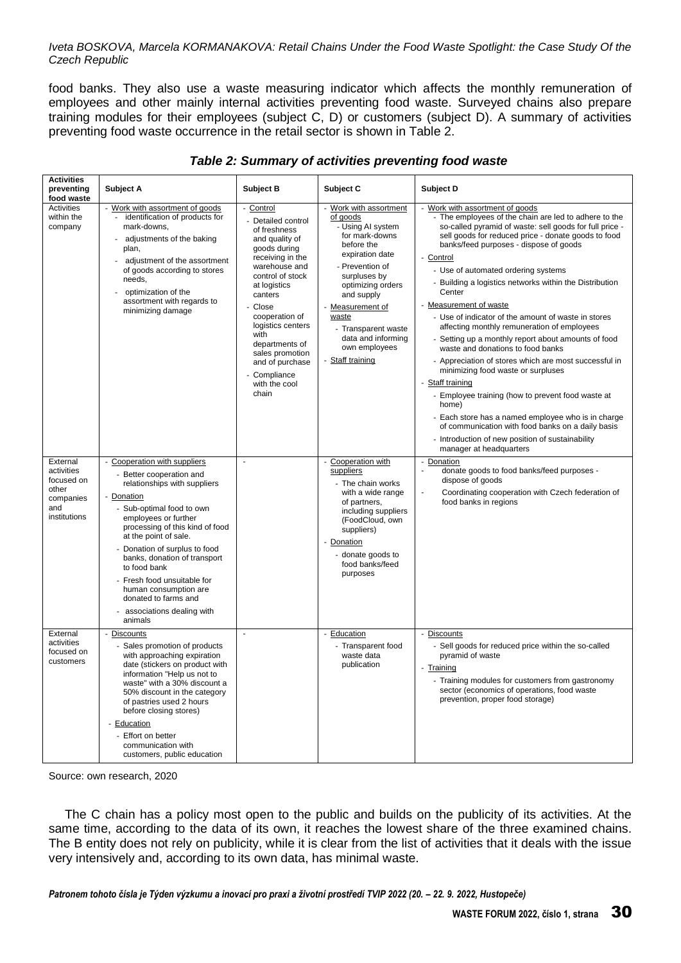food banks. They also use a waste measuring indicator which affects the monthly remuneration of employees and other mainly internal activities preventing food waste. Surveyed chains also prepare training modules for their employees (subject C, D) or customers (subject D). A summary of activities preventing food waste occurrence in the retail sector is shown in Table 2.

| <b>Activities</b><br>preventing<br>food waste                                     | <b>Subject A</b>                                                                                                                                                                                                                                                                                                                                                                                                             | <b>Subject B</b>                                                                                                                                                                                                                                                                                                          | Subject C                                                                                                                                                                                                                                                                                       | Subject D                                                                                                                                                                                                                                                                                                                                                                                                                                                                                                                                                                                                                                                                                                                                                                                                                                                                                                                                                                          |
|-----------------------------------------------------------------------------------|------------------------------------------------------------------------------------------------------------------------------------------------------------------------------------------------------------------------------------------------------------------------------------------------------------------------------------------------------------------------------------------------------------------------------|---------------------------------------------------------------------------------------------------------------------------------------------------------------------------------------------------------------------------------------------------------------------------------------------------------------------------|-------------------------------------------------------------------------------------------------------------------------------------------------------------------------------------------------------------------------------------------------------------------------------------------------|------------------------------------------------------------------------------------------------------------------------------------------------------------------------------------------------------------------------------------------------------------------------------------------------------------------------------------------------------------------------------------------------------------------------------------------------------------------------------------------------------------------------------------------------------------------------------------------------------------------------------------------------------------------------------------------------------------------------------------------------------------------------------------------------------------------------------------------------------------------------------------------------------------------------------------------------------------------------------------|
| Activities<br>within the<br>company                                               | - Work with assortment of goods<br>identification of products for<br>mark-downs,<br>adjustments of the baking<br>plan,<br>adjustment of the assortment<br>of goods according to stores<br>needs,<br>optimization of the<br>assortment with regards to<br>minimizing damage                                                                                                                                                   | Control<br>Detailed control<br>of freshness<br>and quality of<br>goods during<br>receiving in the<br>warehouse and<br>control of stock<br>at logistics<br>canters<br>Close<br>cooperation of<br>logistics centers<br>with<br>departments of<br>sales promotion<br>and of purchase<br>Compliance<br>with the cool<br>chain | - Work with assortment<br>of goods<br>- Using AI system<br>for mark-downs<br>before the<br>expiration date<br>- Prevention of<br>surpluses by<br>optimizing orders<br>and supply<br>- Measurement of<br>waste<br>- Transparent waste<br>data and informing<br>own employees<br>- Staff training | - Work with assortment of goods<br>- The employees of the chain are led to adhere to the<br>so-called pyramid of waste: sell goods for full price -<br>sell goods for reduced price - donate goods to food<br>banks/feed purposes - dispose of goods<br>- Control<br>- Use of automated ordering systems<br>- Building a logistics networks within the Distribution<br>Center<br>Measurement of waste<br>- Use of indicator of the amount of waste in stores<br>affecting monthly remuneration of employees<br>- Setting up a monthly report about amounts of food<br>waste and donations to food banks<br>- Appreciation of stores which are most successful in<br>minimizing food waste or surpluses<br>- Staff training<br>- Employee training (how to prevent food waste at<br>home)<br>- Each store has a named employee who is in charge<br>of communication with food banks on a daily basis<br>- Introduction of new position of sustainability<br>manager at headquarters |
| External<br>activities<br>focused on<br>other<br>companies<br>and<br>institutions | - Cooperation with suppliers<br>Better cooperation and<br>relationships with suppliers<br>Donation<br>- Sub-optimal food to own<br>employees or further<br>processing of this kind of food<br>at the point of sale.<br>- Donation of surplus to food<br>banks, donation of transport<br>to food bank<br>- Fresh food unsuitable for<br>human consumption are<br>donated to farms and<br>associations dealing with<br>animals | ÷.                                                                                                                                                                                                                                                                                                                        | - Cooperation with<br>suppliers<br>- The chain works<br>with a wide range<br>of partners,<br>including suppliers<br>(FoodCloud, own<br>suppliers)<br>- Donation<br>- donate goods to<br>food banks/feed<br>purposes                                                                             | - Donation<br>donate goods to food banks/feed purposes -<br>dispose of goods<br>Coordinating cooperation with Czech federation of<br>$\overline{a}$<br>food banks in regions                                                                                                                                                                                                                                                                                                                                                                                                                                                                                                                                                                                                                                                                                                                                                                                                       |
| External<br>activities<br>focused on<br>customers                                 | - Discounts<br>Sales promotion of products<br>with approaching expiration<br>date (stickers on product with<br>information "Help us not to<br>waste" with a 30% discount a<br>50% discount in the category<br>of pastries used 2 hours<br>before closing stores)<br>Education<br>Effort on better<br>communication with<br>customers, public education                                                                       | ä,                                                                                                                                                                                                                                                                                                                        | - Education<br>- Transparent food<br>waste data<br>publication                                                                                                                                                                                                                                  | - Discounts<br>- Sell goods for reduced price within the so-called<br>pyramid of waste<br>- Training<br>- Training modules for customers from gastronomy<br>sector (economics of operations, food waste<br>prevention, proper food storage)                                                                                                                                                                                                                                                                                                                                                                                                                                                                                                                                                                                                                                                                                                                                        |

### *Table 2: Summary of activities preventing food waste*

Source: own research, 2020

The C chain has a policy most open to the public and builds on the publicity of its activities. At the same time, according to the data of its own, it reaches the lowest share of the three examined chains. The B entity does not rely on publicity, while it is clear from the list of activities that it deals with the issue very intensively and, according to its own data, has minimal waste.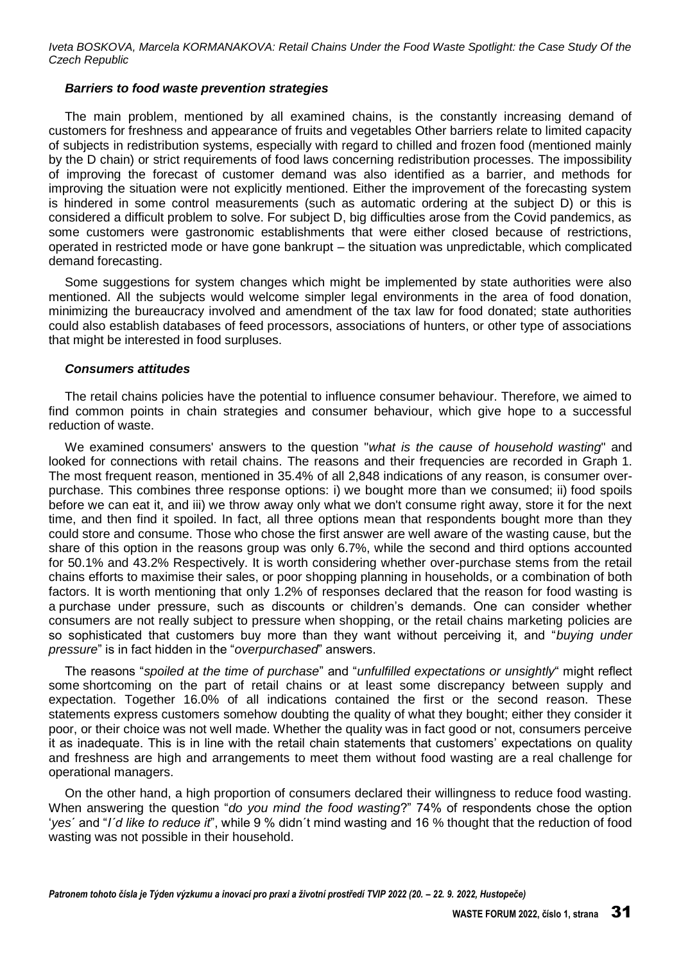#### *Barriers to food waste prevention strategies*

The main problem, mentioned by all examined chains, is the constantly increasing demand of customers for freshness and appearance of fruits and vegetables Other barriers relate to limited capacity of subjects in redistribution systems, especially with regard to chilled and frozen food (mentioned mainly by the D chain) or strict requirements of food laws concerning redistribution processes. The impossibility of improving the forecast of customer demand was also identified as a barrier, and methods for improving the situation were not explicitly mentioned. Either the improvement of the forecasting system is hindered in some control measurements (such as automatic ordering at the subject D) or this is considered a difficult problem to solve. For subject D, big difficulties arose from the Covid pandemics, as some customers were gastronomic establishments that were either closed because of restrictions, operated in restricted mode or have gone bankrupt – the situation was unpredictable, which complicated demand forecasting.

Some suggestions for system changes which might be implemented by state authorities were also mentioned. All the subjects would welcome simpler legal environments in the area of food donation, minimizing the bureaucracy involved and amendment of the tax law for food donated; state authorities could also establish databases of feed processors, associations of hunters, or other type of associations that might be interested in food surpluses.

#### *Consumers attitudes*

The retail chains policies have the potential to influence consumer behaviour. Therefore, we aimed to find common points in chain strategies and consumer behaviour, which give hope to a successful reduction of waste.

We examined consumers' answers to the question "*what is the cause of household wasting*" and looked for connections with retail chains. The reasons and their frequencies are recorded in Graph 1. The most frequent reason, mentioned in 35.4% of all 2,848 indications of any reason, is consumer overpurchase. This combines three response options: i) we bought more than we consumed; ii) food spoils before we can eat it, and iii) we throw away only what we don't consume right away, store it for the next time, and then find it spoiled. In fact, all three options mean that respondents bought more than they could store and consume. Those who chose the first answer are well aware of the wasting cause, but the share of this option in the reasons group was only 6.7%, while the second and third options accounted for 50.1% and 43.2% Respectively. It is worth considering whether over-purchase stems from the retail chains efforts to maximise their sales, or poor shopping planning in households, or a combination of both factors. It is worth mentioning that only 1.2% of responses declared that the reason for food wasting is a purchase under pressure, such as discounts or children's demands. One can consider whether consumers are not really subject to pressure when shopping, or the retail chains marketing policies are so sophisticated that customers buy more than they want without perceiving it, and "*buying under pressure*" is in fact hidden in the "*overpurchased*" answers.

The reasons "*spoiled at the time of purchase*" and "*unfulfilled expectations or unsightly*" might reflect some shortcoming on the part of retail chains or at least some discrepancy between supply and expectation. Together 16.0% of all indications contained the first or the second reason. These statements express customers somehow doubting the quality of what they bought; either they consider it poor, or their choice was not well made. Whether the quality was in fact good or not, consumers perceive it as inadequate. This is in line with the retail chain statements that customers' expectations on quality and freshness are high and arrangements to meet them without food wasting are a real challenge for operational managers.

On the other hand, a high proportion of consumers declared their willingness to reduce food wasting. When answering the question "*do you mind the food wasting*?" 74% of respondents chose the option '*yes*´ and "*I´d like to reduce it*", while 9 % didn´t mind wasting and 16 % thought that the reduction of food wasting was not possible in their household.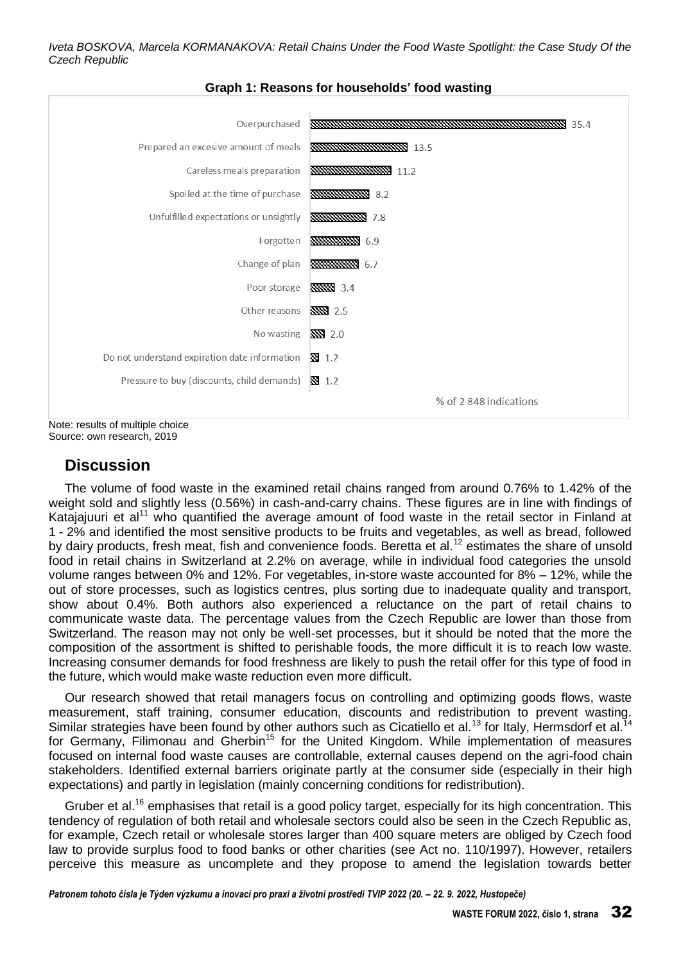

### **Graph 1: Reasons for households' food wasting**

Source: own research, 2019

# **Discussion**

The volume of food waste in the examined retail chains ranged from around 0.76% to 1.42% of the weight sold and slightly less (0.56%) in cash-and-carry chains. These figures are in line with findings of Katajajuuri et al<sup>11</sup> who quantified the average amount of food waste in the retail sector in Finland at 1 - 2% and identified the most sensitive products to be fruits and vegetables, as well as bread, followed by dairy products, fresh meat, fish and convenience foods. Beretta et al.<sup>12</sup> estimates the share of unsold food in retail chains in Switzerland at 2.2% on average, while in individual food categories the unsold volume ranges between 0% and 12%. For vegetables, in-store waste accounted for 8% – 12%, while the out of store processes, such as logistics centres, plus sorting due to inadequate quality and transport, show about 0.4%. Both authors also experienced a reluctance on the part of retail chains to communicate waste data. The percentage values from the Czech Republic are lower than those from Switzerland. The reason may not only be well-set processes, but it should be noted that the more the composition of the assortment is shifted to perishable foods, the more difficult it is to reach low waste. Increasing consumer demands for food freshness are likely to push the retail offer for this type of food in the future, which would make waste reduction even more difficult.

Our research showed that retail managers focus on controlling and optimizing goods flows, waste Our research showed that retail mariagers rooms on someoning sincered and social consumer measurement, staff training, consumer education, discounts and redistribution to prevent wasting. Similar strategies have been found by other authors such as Cicatiello et al.<sup>13</sup> for Italy, Hermsdorf et al.<sup>1</sup> for Germany, Filimonau and Gherbin<sup>15</sup> for the United Kingdom. While implementation of measures focused on internal food waste causes are controllable, external causes depend on the agri-food chain stakeholders. Identified external barriers originate partly at the consumer side (especially in their high expectations) and partly in legislation (mainly concerning conditions for redistribution).

Gruber et al.<sup>16</sup> emphasises that retail is a good policy target, especially for its high concentration. This tendency of regulation of both retail and wholesale sectors could also be seen in the Czech Republic as, for example, Czech retail or wholesale stores larger than 400 square meters are obliged by Czech food law to provide surplus food to food banks or other charities (see Act no. 110/1997). However, retailers perceive this measure as uncomplete and they propose to amend the legislation towards better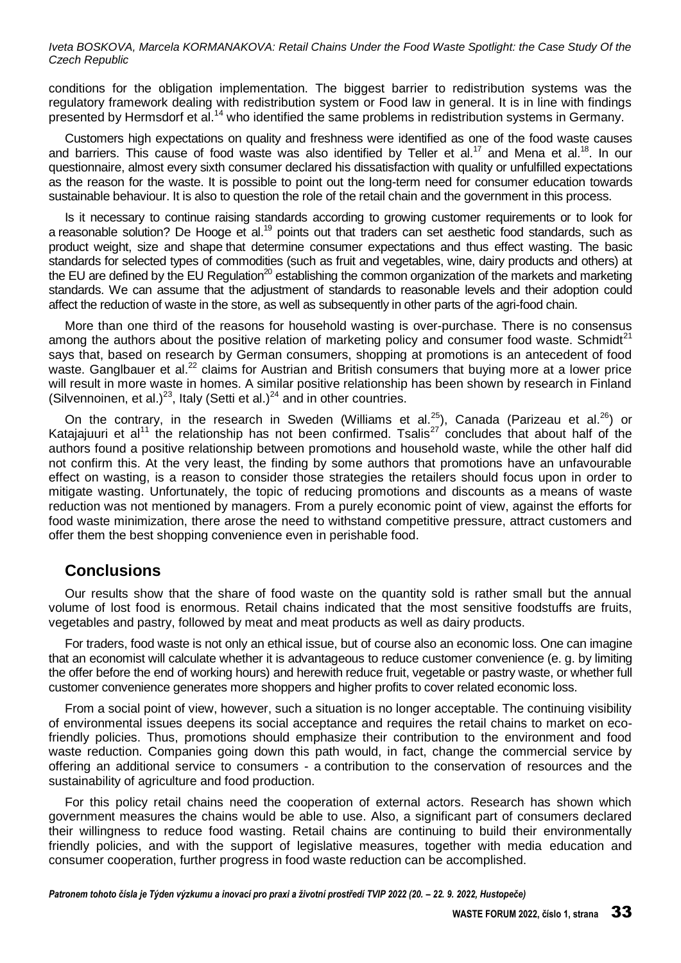conditions for the obligation implementation. The biggest barrier to redistribution systems was the regulatory framework dealing with redistribution system or Food law in general. It is in line with findings presented by Hermsdorf et al.<sup>14</sup> who identified the same problems in redistribution systems in Germany.

Customers high expectations on quality and freshness were identified as one of the food waste causes and barriers. This cause of food waste was also identified by Teller et al.<sup>17</sup> and Mena et al.<sup>18</sup>. In our questionnaire, almost every sixth consumer declared his dissatisfaction with quality or unfulfilled expectations as the reason for the waste. It is possible to point out the long-term need for consumer education towards sustainable behaviour. It is also to question the role of the retail chain and the government in this process.

Is it necessary to continue raising standards according to growing customer requirements or to look for a reasonable solution? De Hooge et al.<sup>19</sup> points out that traders can set aesthetic food standards, such as product weight, size and shape that determine consumer expectations and thus effect wasting. The basic standards for selected types of commodities (such as fruit and vegetables, wine, dairy products and others) at the EU are defined by the EU Regulation<sup>20</sup> establishing the common organization of the markets and marketing standards. We can assume that the adjustment of standards to reasonable levels and their adoption could affect the reduction of waste in the store, as well as subsequently in other parts of the agri-food chain.

More than one third of the reasons for household wasting is over-purchase. There is no consensus among the authors about the positive relation of marketing policy and consumer food waste. Schmidt<sup>21</sup> says that, based on research by German consumers, shopping at promotions is an antecedent of food waste. Ganglbauer et al.<sup>22</sup> claims for Austrian and British consumers that buying more at a lower price will result in more waste in homes. A similar positive relationship has been shown by research in Finland (Silvennoinen, et al.)<sup>23</sup>, Italy (Setti et al.)<sup>24</sup> and in other countries.

On the contrary, in the research in Sweden (Williams et al.<sup>25</sup>), Canada (Parizeau et al.<sup>26</sup>) or Katajajuuri et al<sup>11</sup> the relationship has not been confirmed. Tsalis<sup>27</sup> concludes that about half of the authors found a positive relationship between promotions and household waste, while the other half did not confirm this. At the very least, the finding by some authors that promotions have an unfavourable effect on wasting, is a reason to consider those strategies the retailers should focus upon in order to mitigate wasting. Unfortunately, the topic of reducing promotions and discounts as a means of waste reduction was not mentioned by managers. From a purely economic point of view, against the efforts for food waste minimization, there arose the need to withstand competitive pressure, attract customers and offer them the best shopping convenience even in perishable food.

### **Conclusions**

Our results show that the share of food waste on the quantity sold is rather small but the annual volume of lost food is enormous. Retail chains indicated that the most sensitive foodstuffs are fruits, vegetables and pastry, followed by meat and meat products as well as dairy products.

For traders, food waste is not only an ethical issue, but of course also an economic loss. One can imagine that an economist will calculate whether it is advantageous to reduce customer convenience (e. g. by limiting the offer before the end of working hours) and herewith reduce fruit, vegetable or pastry waste, or whether full customer convenience generates more shoppers and higher profits to cover related economic loss.

From a social point of view, however, such a situation is no longer acceptable. The continuing visibility of environmental issues deepens its social acceptance and requires the retail chains to market on ecofriendly policies. Thus, promotions should emphasize their contribution to the environment and food waste reduction. Companies going down this path would, in fact, change the commercial service by offering an additional service to consumers - a contribution to the conservation of resources and the sustainability of agriculture and food production.

For this policy retail chains need the cooperation of external actors. Research has shown which government measures the chains would be able to use. Also, a significant part of consumers declared their willingness to reduce food wasting. Retail chains are continuing to build their environmentally friendly policies, and with the support of legislative measures, together with media education and consumer cooperation, further progress in food waste reduction can be accomplished.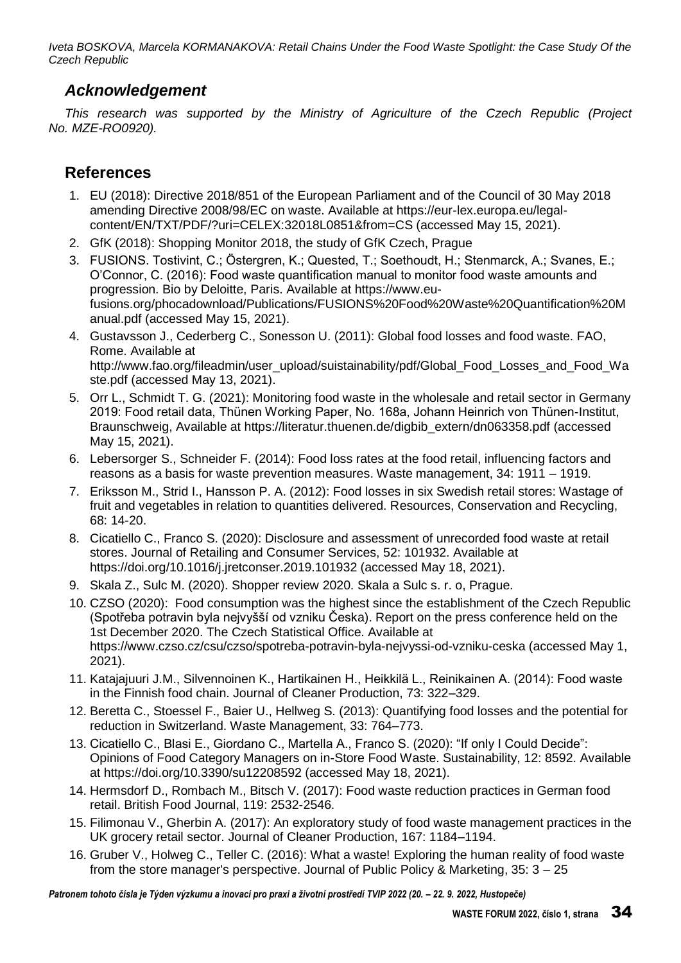# *Acknowledgement*

*This research was supported by the Ministry of Agriculture of the Czech Republic (Project No. MZE-RO0920).* 

# **References**

- 1. EU (2018): Directive 2018/851 of the European Parliament and of the Council of 30 May 2018 amending Directive 2008/98/EC on waste. Available at https://eur-lex.europa.eu/legalcontent/EN/TXT/PDF/?uri=CELEX:32018L0851&from=CS (accessed May 15, 2021).
- 2. GfK (2018): Shopping Monitor 2018, the study of GfK Czech, Prague
- 3. FUSIONS. Tostivint, C.; Östergren, K.; Quested, T.; Soethoudt, H.; Stenmarck, A.; Svanes, E.; O'Connor, C. (2016): Food waste quantification manual to monitor food waste amounts and progression. Bio by Deloitte, Paris. Available at https://www.eufusions.org/phocadownload/Publications/FUSIONS%20Food%20Waste%20Quantification%20M anual.pdf (accessed May 15, 2021).
- 4. Gustavsson J., Cederberg C., Sonesson U. (2011): Global food losses and food waste. FAO, Rome. Available at http://www.fao.org/fileadmin/user\_upload/suistainability/pdf/Global\_Food\_Losses\_and\_Food\_Wa ste.pdf (accessed May 13, 2021).
- 5. Orr L., Schmidt T. G. (2021): Monitoring food waste in the wholesale and retail sector in Germany 2019: Food retail data, Thünen Working Paper, No. 168a, Johann Heinrich von Thünen-Institut, Braunschweig, Available at https://literatur.thuenen.de/digbib\_extern/dn063358.pdf (accessed May 15, 2021).
- 6. Lebersorger S., Schneider F. (2014): Food loss rates at the food retail, influencing factors and reasons as a basis for waste prevention measures. Waste management, 34: 1911 – 1919.
- 7. Eriksson M., Strid I., Hansson P. A. (2012): Food losses in six Swedish retail stores: Wastage of fruit and vegetables in relation to quantities delivered. Resources, Conservation and Recycling, 68: 14-20.
- 8. Cicatiello C., Franco S. (2020): Disclosure and assessment of unrecorded food waste at retail stores. Journal of Retailing and Consumer Services, 52: 101932. Available at https://doi.org/10.1016/j.jretconser.2019.101932 (accessed May 18, 2021).
- 9. Skala Z., Sulc M. (2020). Shopper review 2020. Skala a Sulc s. r. o, Prague.
- 10. CZSO (2020): Food consumption was the highest since the establishment of the Czech Republic (Spotřeba potravin byla nejvyšší od vzniku Česka). Report on the press conference held on the 1st December 2020. The Czech Statistical Office. Available at https://www.czso.cz/csu/czso/spotreba-potravin-byla-nejvyssi-od-vzniku-ceska (accessed May 1, 2021).
- 11. Katajajuuri J.M., Silvennoinen K., Hartikainen H., Heikkilä L., Reinikainen A. (2014): Food waste in the Finnish food chain. Journal of Cleaner Production, 73: 322–329.
- 12. Beretta C., Stoessel F., Baier U., Hellweg S. (2013): Quantifying food losses and the potential for reduction in Switzerland. Waste Management, 33: 764–773.
- 13. Cicatiello C., Blasi E., Giordano C., Martella A., Franco S. (2020): "If only I Could Decide": Opinions of Food Category Managers on in-Store Food Waste. Sustainability, 12: 8592. Available at https://doi.org/10.3390/su12208592 (accessed May 18, 2021).
- 14. Hermsdorf D., Rombach M., Bitsch V. (2017): Food waste reduction practices in German food retail. British Food Journal, 119: 2532-2546.
- 15. Filimonau V., Gherbin A. (2017): An exploratory study of food waste management practices in the UK grocery retail sector. Journal of Cleaner Production, 167: 1184–1194.
- 16. Gruber V., Holweg C., Teller C. (2016): What a waste! Exploring the human reality of food waste from the store manager's perspective. Journal of Public Policy & Marketing, 35: 3 – 25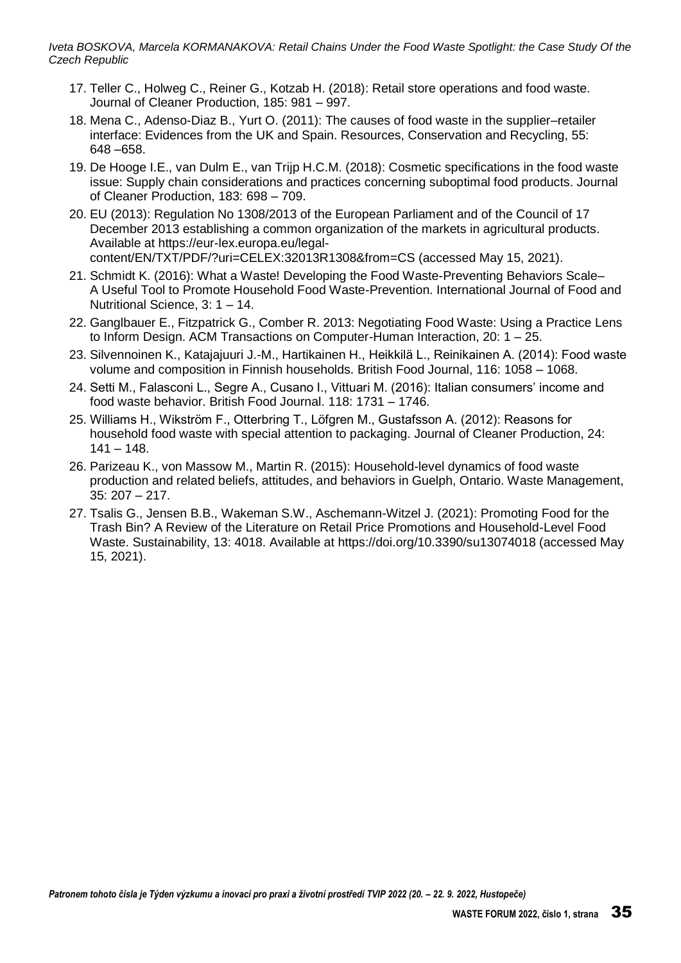- 17. Teller C., Holweg C., Reiner G., Kotzab H. (2018): Retail store operations and food waste. Journal of Cleaner Production, 185: 981 – 997.
- 18. Mena C., Adenso-Diaz B., Yurt O. (2011): The causes of food waste in the supplier–retailer interface: Evidences from the UK and Spain. Resources, Conservation and Recycling, 55: 648 –658.
- 19. De Hooge I.E., van Dulm E., van Trijp H.C.M. (2018): Cosmetic specifications in the food waste issue: Supply chain considerations and practices concerning suboptimal food products. Journal of Cleaner Production, 183: 698 – 709.
- 20. EU (2013): Regulation No 1308/2013 of the European Parliament and of the Council of 17 December 2013 establishing a common organization of the markets in agricultural products. Available at https://eur-lex.europa.eu/legalcontent/EN/TXT/PDF/?uri=CELEX:32013R1308&from=CS (accessed May 15, 2021).
- 21. Schmidt K. (2016): What a Waste! Developing the Food Waste-Preventing Behaviors Scale– A Useful Tool to Promote Household Food Waste-Prevention. International Journal of Food and Nutritional Science, 3: 1 – 14.
- 22. Ganglbauer E., Fitzpatrick G., Comber R. 2013: Negotiating Food Waste: Using a Practice Lens to Inform Design. ACM Transactions on Computer-Human Interaction, 20: 1 – 25.
- 23. Silvennoinen K., Katajajuuri J.-M., Hartikainen H., Heikkilä L., Reinikainen A. (2014): Food waste volume and composition in Finnish households. British Food Journal, 116: 1058 – 1068.
- 24. Setti M., Falasconi L., Segre A., Cusano I., Vittuari M. (2016): Italian consumers' income and food waste behavior. British Food Journal. 118: 1731 – 1746.
- 25. Williams H., Wikström F., Otterbring T., Löfgren M., Gustafsson A. (2012): Reasons for household food waste with special attention to packaging. Journal of Cleaner Production, 24:  $141 - 148.$
- 26. Parizeau K., von Massow M., Martin R. (2015): Household-level dynamics of food waste production and related beliefs, attitudes, and behaviors in Guelph, Ontario. Waste Management, 35: 207 – 217.
- 27. Tsalis G., Jensen B.B., Wakeman S.W., Aschemann-Witzel J. (2021): Promoting Food for the Trash Bin? A Review of the Literature on Retail Price Promotions and Household-Level Food Waste. Sustainability, 13: 4018. Available at https://doi.org/10.3390/su13074018 (accessed May 15, 2021).